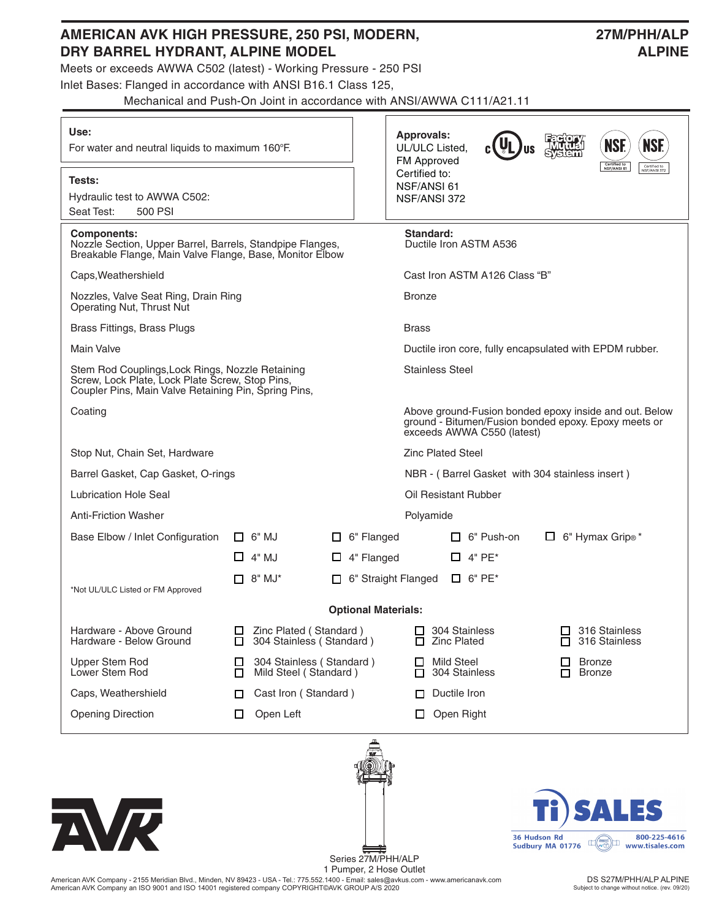| Use:<br>For water and neutral liquids to maximum 160°F.                                                                                                     |        |                                                    |                                                                             |                            |  | <b>Approvals:</b><br><b>NSF.</b><br>UL/ULC Listed,<br>FM Approved                                                                            |                                     |                   |  |                                |  |  |  |
|-------------------------------------------------------------------------------------------------------------------------------------------------------------|--------|----------------------------------------------------|-----------------------------------------------------------------------------|----------------------------|--|----------------------------------------------------------------------------------------------------------------------------------------------|-------------------------------------|-------------------|--|--------------------------------|--|--|--|
| Tests:<br>Hydraulic test to AWWA C502:<br>Seat Test:<br>500 PSI                                                                                             |        |                                                    | Certified to<br>NSF/ANSI 61<br>Certified to:<br>NSF/ANSI 61<br>NSF/ANSI 372 |                            |  |                                                                                                                                              |                                     |                   |  |                                |  |  |  |
| <b>Components:</b><br>Nozzle Section, Upper Barrel, Barrels, Standpipe Flanges,<br>Breakable Flange, Main Valve Flange, Base, Monitor Elbow                 |        |                                                    |                                                                             |                            |  |                                                                                                                                              | Standard:<br>Ductile Iron ASTM A536 |                   |  |                                |  |  |  |
| Caps, Weathershield                                                                                                                                         |        |                                                    |                                                                             |                            |  |                                                                                                                                              | Cast Iron ASTM A126 Class "B"       |                   |  |                                |  |  |  |
| Nozzles, Valve Seat Ring, Drain Ring<br>Operating Nut, Thrust Nut                                                                                           |        |                                                    |                                                                             |                            |  |                                                                                                                                              | <b>Bronze</b>                       |                   |  |                                |  |  |  |
| <b>Brass Fittings, Brass Plugs</b>                                                                                                                          |        |                                                    |                                                                             |                            |  | <b>Brass</b>                                                                                                                                 |                                     |                   |  |                                |  |  |  |
| <b>Main Valve</b>                                                                                                                                           |        |                                                    |                                                                             |                            |  | Ductile iron core, fully encapsulated with EPDM rubber.                                                                                      |                                     |                   |  |                                |  |  |  |
| Stem Rod Couplings, Lock Rings, Nozzle Retaining<br>Screw, Lock Plate, Lock Plate Screw, Stop Pins,<br>Coupler Pins, Main Valve Retaining Pin, Spring Pins, |        |                                                    |                                                                             |                            |  | <b>Stainless Steel</b>                                                                                                                       |                                     |                   |  |                                |  |  |  |
| Coating                                                                                                                                                     |        |                                                    |                                                                             |                            |  | Above ground-Fusion bonded epoxy inside and out. Below<br>ground - Bitumen/Fusion bonded epoxy. Epoxy meets or<br>exceeds AWWA C550 (latest) |                                     |                   |  |                                |  |  |  |
| Stop Nut, Chain Set, Hardware                                                                                                                               |        |                                                    |                                                                             |                            |  | <b>Zinc Plated Steel</b>                                                                                                                     |                                     |                   |  |                                |  |  |  |
| Barrel Gasket, Cap Gasket, O-rings                                                                                                                          |        |                                                    |                                                                             |                            |  | NBR - (Barrel Gasket with 304 stainless insert)                                                                                              |                                     |                   |  |                                |  |  |  |
| <b>Lubrication Hole Seal</b>                                                                                                                                |        |                                                    |                                                                             |                            |  | Oil Resistant Rubber                                                                                                                         |                                     |                   |  |                                |  |  |  |
| <b>Anti-Friction Washer</b>                                                                                                                                 |        |                                                    |                                                                             |                            |  | Polyamide                                                                                                                                    |                                     |                   |  |                                |  |  |  |
| Base Elbow / Inlet Configuration                                                                                                                            |        | $\Box$ 6" MJ                                       |                                                                             | $\Box$ 6" Flanged          |  |                                                                                                                                              |                                     | $\Box$ 6" Push-on |  | $\Box$ 6" Hymax Grip®*         |  |  |  |
|                                                                                                                                                             |        | $\Box$ 4" MJ                                       |                                                                             | $\Box$ 4" Flanged          |  |                                                                                                                                              |                                     | $\Box$ 4" PE*     |  |                                |  |  |  |
| *Not UL/ULC Listed or FM Approved                                                                                                                           |        | $\Box$ 8" MJ*                                      |                                                                             | 6" Straight Flanged        |  |                                                                                                                                              |                                     | $\Box$ 6" PE*     |  |                                |  |  |  |
|                                                                                                                                                             |        |                                                    |                                                                             | <b>Optional Materials:</b> |  |                                                                                                                                              |                                     |                   |  |                                |  |  |  |
| Hardware - Above Ground<br>Hardware - Below Ground                                                                                                          | □      | Zinc Plated (Standard)<br>304 Stainless (Standard) |                                                                             |                            |  | 304 Stainless<br>ப<br><b>Zinc Plated</b>                                                                                                     |                                     |                   |  | 316 Stainless<br>316 Stainless |  |  |  |
| <b>Upper Stem Rod</b><br>Lower Stem Rod                                                                                                                     | ப<br>П | 304 Stainless (Standard)<br>Mild Steel (Standard)  |                                                                             |                            |  | <b>Mild Steel</b><br>304 Stainless<br>П                                                                                                      |                                     |                   |  | <b>Bronze</b><br><b>Bronze</b> |  |  |  |
| Caps, Weathershield                                                                                                                                         | □      | Cast Iron (Standard)                               |                                                                             |                            |  | Ductile Iron<br>П                                                                                                                            |                                     |                   |  |                                |  |  |  |
| <b>Opening Direction</b>                                                                                                                                    |        | Open Left                                          |                                                                             |                            |  | ப                                                                                                                                            |                                     | Open Right        |  |                                |  |  |  |

**AMERICAN AVK HIGH PRESSURE, 250 PSI, MODERN, 27M/PHH/ALP**





Series 27M/PHH/ALP 1 Pumper, 2 Hose Outlet

American AVK Company - 2155 Meridian Blvd., Minden, NV 89423 - USA - Tel.: 775.552.1400 - Email: sales@avkus.com - www.americanavk.com American AVK Company an ISO 9001 and ISO 14001 registered company COPYRIGHT©AVK GROUP A/S 2020